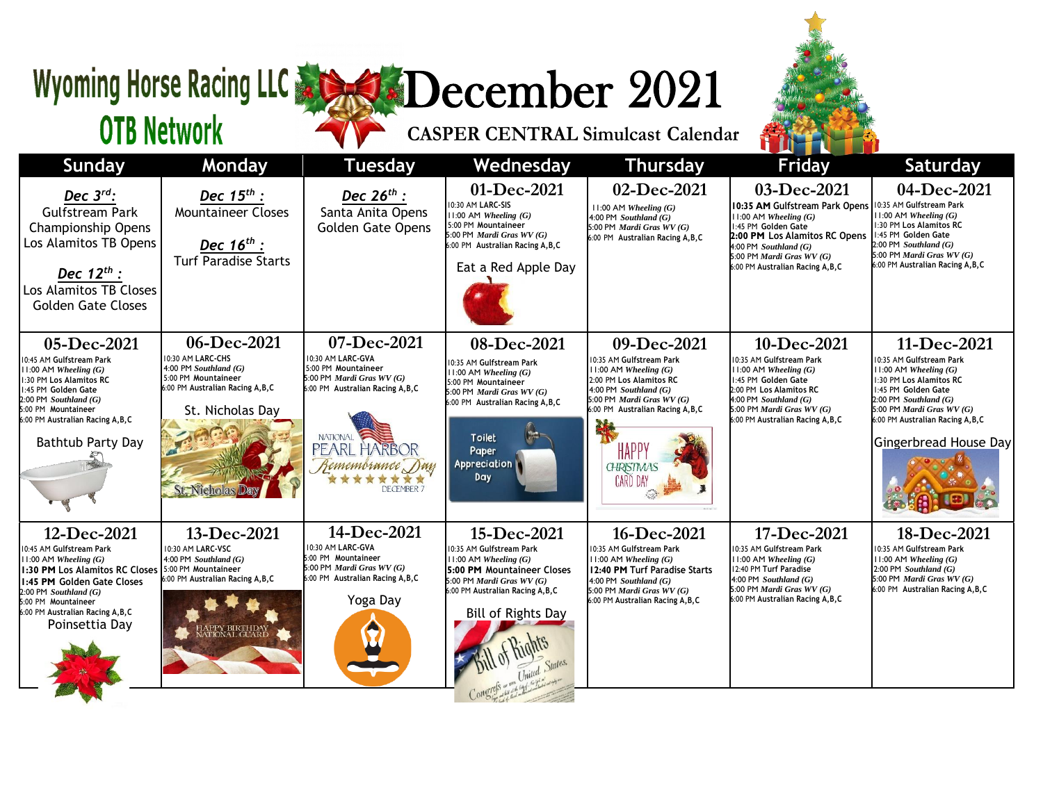## Wyoming Horse Racing LLC & SO December 2021

**OTB Network** 

| <b>Sunday</b>                                                                                                                                                                                                                                   | <b>Monday</b>                                                                                                                                               | <b>Tuesday</b>                                                                                                                                                                                        | Wednesday                                                                                                                                                                                                      | <b>Thursday</b>                                                                                                                                                                                                                                                  | <b>Friday</b>                                                                                                                                                                                                                                               | <b>Saturday</b>                                                                                                                                                                                                                                 |
|-------------------------------------------------------------------------------------------------------------------------------------------------------------------------------------------------------------------------------------------------|-------------------------------------------------------------------------------------------------------------------------------------------------------------|-------------------------------------------------------------------------------------------------------------------------------------------------------------------------------------------------------|----------------------------------------------------------------------------------------------------------------------------------------------------------------------------------------------------------------|------------------------------------------------------------------------------------------------------------------------------------------------------------------------------------------------------------------------------------------------------------------|-------------------------------------------------------------------------------------------------------------------------------------------------------------------------------------------------------------------------------------------------------------|-------------------------------------------------------------------------------------------------------------------------------------------------------------------------------------------------------------------------------------------------|
| Dec $3^{rd}$ :<br><b>Gulfstream Park</b><br><b>Championship Opens</b><br>Los Alamitos TB Opens<br>Dec $12^{th}$ :<br>Los Alamitos TB Closes<br><b>Golden Gate Closes</b>                                                                        | Dec $15^{th}$ :<br><b>Mountaineer Closes</b><br>Dec $16^{th}$ :<br><b>Turf Paradise Starts</b>                                                              | Dec 26 <sup>th</sup> :<br>Santa Anita Opens<br><b>Golden Gate Opens</b>                                                                                                                               | 01-Dec-2021<br>10:30 AM LARC-SIS<br>$11:00$ AM Wheeling $(G)$<br>5:00 PM Mountaineer<br>5:00 PM Mardi Gras WV (G)<br>6:00 PM Australian Racing A, B, C<br>Eat a Red Apple Day                                  | 02-Dec-2021<br>$11:00$ AM Wheeling $(G)$<br>4:00 PM Southland $(G)$<br>5:00 PM Mardi Gras WV (G)<br>6:00 PM Australian Racing A, B, C                                                                                                                            | 03-Dec-2021<br>10:35 AM Gulfstream Park Opens 10:35 AM Gulfstream Park<br>$11:00$ AM Wheeling $(G)$<br>1:45 PM Golden Gate<br>2:00 PM Los Alamitos RC Opens<br>$4:00$ PM Southland $(G)$<br>5:00 PM Mardi Gras $WV(G)$<br>6:00 PM Australian Racing A, B, C | 04-Dec-2021<br>$11:00$ AM Wheeling $(G)$<br>1:30 PM Los Alamitos RC<br>1:45 PM Golden Gate<br>$2:00$ PM Southland $(G)$<br>5:00 PM Mardi Gras $WV(G)$<br>6:00 PM Australian Racing A, B, C                                                      |
| 05-Dec-2021<br>10:45 AM Gulfstream Park<br>$11:00$ AM Wheeling $(G)$<br>1:30 PM Los Alamitos RC<br>1:45 PM Golden Gate<br>$2:00$ PM Southland $(G)$<br>5:00 PM Mountaineer<br>6:00 PM Australian Racing A, B, C<br>Bathtub Party Day            | 06-Dec-2021<br>10:30 AM LARC-CHS<br>4:00 PM Southland $(G)$<br>5:00 PM Mountaineer<br>6:00 PM Australian Racing A, B, C<br>St. Nicholas Day<br>St. Nicholas | 07-Dec-2021<br>10:30 AM LARC-GVA<br>5:00 PM Mountaineer<br>5:00 PM Mardi Gras $WV(G)$<br>6:00 PM Australian Racing A, B, C<br><b>NATIONAL</b><br>PEARL HARBOR<br>Remembrance Day<br><b>DECEMBER 7</b> | 08-Dec-2021<br>10:35 AM Gulfstream Park<br>$11:00$ AM Wheeling $(G)$<br>5:00 PM Mountaineer<br>5:00 PM Mardi Gras WV (G)<br>6:00 PM Australian Racing A, B, C<br><b>Toilet</b><br>Paper<br>Appreciation<br>Day | 09-Dec-2021<br>10:35 AM Gulfstream Park<br>$11:00$ AM Wheeling $(G)$<br>2:00 PM Los Alamitos RC<br>4:00 PM Southland $(G)$<br>5:00 PM <i>Mardi Gras WV</i> $(G)$<br>6:00 PM Australian Racing A, B, C<br>HAPP <sup></sup><br><b>CHRISTMAS</b><br><b>CARD DAY</b> | 10-Dec-2021<br>10:35 AM Gulfstream Park<br>$11:00$ AM Wheeling $(G)$<br>1:45 PM Golden Gate<br>12:00 PM Los Alamitos RC<br>4:00 PM Southland $(G)$<br>5:00 PM Mardi Gras $WV(G)$<br>6:00 PM Australian Racing A, B, C                                       | 11-Dec-2021<br>10:35 AM Gulfstream Park<br>$11:00$ AM Wheeling $(G)$<br>1:30 PM Los Alamitos RC<br>1:45 PM Golden Gate<br>$2:00$ PM Southland $(G)$<br>5:00 PM Mardi Gras $WV(G)$<br>6:00 PM Australian Racing A, B, C<br>Gingerbread House Day |
| 12-Dec-2021<br>10:45 AM Gulfstream Park<br>$11:00$ AM Wheeling $(G)$<br>1:30 PM Los Alamitos RC Closes<br>1:45 PM Golden Gate Closes<br>$2:00$ PM Southland $(G)$<br>5:00 PM Mountaineer<br>6:00 PM Australian Racing A, B, C<br>Poinsettia Day | 13-Dec-2021<br>10:30 AM LARC-VSC<br>4:00 PM Southland $(G)$<br>5:00 PM Mountaineer<br>6:00 PM Australian Racing A, B, C<br>PY BIRTHDA<br>ONAL GUAR          | 14-Dec-2021<br>10:30 AM LARC-GVA<br>5:00 PM Mountaineer<br>5:00 PM Mardi Gras $WV(G)$<br>6:00 PM Australian Racing A, B, C<br>Yoga Day                                                                | 15-Dec-2021<br>10:35 AM Gulfstream Park<br>$11:00$ AM Wheeling $(G)$<br>5:00 PM Mountaineer Closes<br>5:00 PM Mardi Gras WV (G)<br>6:00 PM Australian Racing A, B, C<br>Bill of Rights Day                     | 16-Dec-2021<br>10:35 AM Gulfstream Park<br>$11:00$ AM Wheeling $(G)$<br>12:40 PM Turf Paradise Starts<br>4:00 PM Southland $(G)$<br>5:00 PM Mardi Gras WV (G)<br>6:00 PM Australian Racing A, B, C                                                               | 17-Dec-2021<br>10:35 AM Gulfstream Park<br>$11:00$ AM Wheeling $(G)$<br>12:40 PM Turf Paradise<br>4:00 PM Southland $(G)$<br>5:00 PM Mardi Gras $WV(G)$<br>6:00 PM Australian Racing A, B, C                                                                | 18-Dec-2021<br>10:35 AM Gulfstream Park<br>$11:00$ AM Wheeling $(G)$<br>$2:00$ PM Southland $(G)$<br>5:00 PM Mardi Gras $WV(G)$<br>6:00 PM Australian Racing A, B, C                                                                            |

**CASPER CENTRAL Simulcast Calendar**